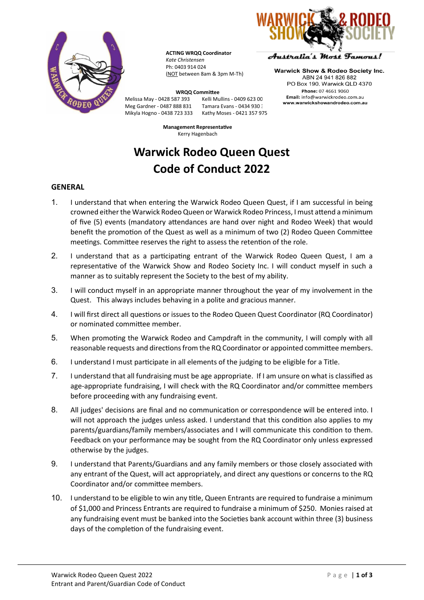

**ACTING WRQQ Coordinator** *Kate Christensen* Ph: 0403 914 024 (NOT between 8am & 3pm M-Th)

Australia's Most Tamous!

**Warwick Show & Rodeo Society Inc.** ABN 24 941 826 882 PO Box 190, Warwick QLD 4370 Phone: 07 4661 9060 Email: info@warwickrodeo.com.au www.warwickshowandrodeo.com.au

Meg Gardner - 0487 888 831<br>Mikyla Hogno - 0438 723 333

**WRQQ Committee**<br>87 393 Kelli Mullins - 0409 623 00 Melissa May - 0428 587 393 Kelli Mullins - 0409 623 00<br>Meg Gardner - 0487 888 831 Tamara Evans - 0434 930 1 Kathy Moses - 0421 357 975

> **Management Representative** Kerry Hagenbach

# **Warwick Rodeo Queen Quest Code of Conduct 2022**

#### **GENERAL**

- 1. I understand that when entering the Warwick Rodeo Queen Quest, if I am successful in being crowned either the Warwick Rodeo Queen or Warwick Rodeo Princess, I must attend a minimum of five (5) events (mandatory attendances are hand over night and Rodeo Week) that would benefit the promotion of the Quest as well as a minimum of two (2) Rodeo Queen Committee meetings. Committee reserves the right to assess the retention of the role.
- 2. I understand that as a participating entrant of the Warwick Rodeo Queen Quest, I am a representative of the Warwick Show and Rodeo Society Inc. I will conduct myself in such a manner as to suitably represent the Society to the best of my ability.
- 3. I will conduct myself in an appropriate manner throughout the year of my involvement in the Quest. This always includes behaving in a polite and gracious manner.
- 4. I will first direct all questions or issues to the Rodeo Queen Quest Coordinator (RQ Coordinator) or nominated committee member.
- 5. When promoting the Warwick Rodeo and Campdraft in the community, I will comply with all reasonable requests and directions from the RQ Coordinator or appointed committee members.
- 6. I understand I must participate in all elements of the judging to be eligible for a Title.
- 7. I understand that all fundraising must be age appropriate. If I am unsure on what is classified as age-appropriate fundraising, I will check with the RQ Coordinator and/or committee members before proceeding with any fundraising event.
- 8. All judges' decisions are final and no communication or correspondence will be entered into. I will not approach the judges unless asked. I understand that this condition also applies to my parents/guardians/family members/associates and I will communicate this condition to them. Feedback on your performance may be sought from the RQ Coordinator only unless expressed otherwise by the judges.
- 9. I understand that Parents/Guardians and any family members or those closely associated with any entrant of the Quest, will act appropriately, and direct any questions or concerns to the RQ Coordinator and/or committee members.
- 10. I understand to be eligible to win any title, Queen Entrants are required to fundraise a minimum of \$1,000 and Princess Entrants are required to fundraise a minimum of \$250. Monies raised at any fundraising event must be banked into the Societies bank account within three (3) business days of the completion of the fundraising event.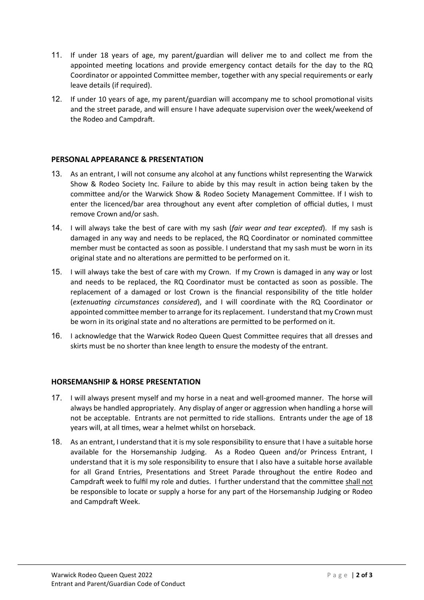- 11. If under 18 years of age, my parent/guardian will deliver me to and collect me from the appointed meeting locations and provide emergency contact details for the day to the RQ Coordinator or appointed Committee member, together with any special requirements or early leave details (if required).
- 12. If under 10 years of age, my parent/guardian will accompany me to school promotional visits and the street parade, and will ensure I have adequate supervision over the week/weekend of the Rodeo and Campdraft.

## **PERSONAL APPEARANCE & PRESENTATION**

- 13. As an entrant, I will not consume any alcohol at any functions whilst representing the Warwick Show & Rodeo Society Inc. Failure to abide by this may result in action being taken by the committee and/or the Warwick Show & Rodeo Society Management Committee. If I wish to enter the licenced/bar area throughout any event after completion of official duties, I must remove Crown and/or sash.
- 14. I will always take the best of care with my sash (*fair wear and tear excepted*). If my sash is damaged in any way and needs to be replaced, the RQ Coordinator or nominated committee member must be contacted as soon as possible. I understand that my sash must be worn in its original state and no alterations are permitted to be performed on it.
- 15. I will always take the best of care with my Crown. If my Crown is damaged in any way or lost and needs to be replaced, the RQ Coordinator must be contacted as soon as possible. The replacement of a damaged or lost Crown is the financial responsibility of the title holder (*extenuating circumstances considered*), and I will coordinate with the RQ Coordinator or appointed committee member to arrange for its replacement. I understand that my Crown must be worn in its original state and no alterations are permitted to be performed on it.
- 16. I acknowledge that the Warwick Rodeo Queen Quest Committee requires that all dresses and skirts must be no shorter than knee length to ensure the modesty of the entrant.

## **HORSEMANSHIP & HORSE PRESENTATION**

- 17. I will always present myself and my horse in a neat and well-groomed manner. The horse will always be handled appropriately. Any display of anger or aggression when handling a horse will not be acceptable. Entrants are not permitted to ride stallions. Entrants under the age of 18 years will, at all times, wear a helmet whilst on horseback.
- 18. As an entrant, I understand that it is my sole responsibility to ensure that I have a suitable horse available for the Horsemanship Judging. As a Rodeo Queen and/or Princess Entrant, I understand that it is my sole responsibility to ensure that I also have a suitable horse available for all Grand Entries, Presentations and Street Parade throughout the entire Rodeo and Campdraft week to fulfil my role and duties. I further understand that the committee shall not be responsible to locate or supply a horse for any part of the Horsemanship Judging or Rodeo and Campdraft Week.